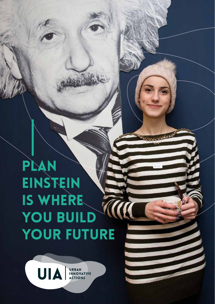# Plan **EINSTEIN** is where YOU BUILD YOUR FUTURE

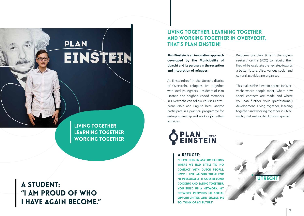# **PLAN** EINSTEIN

Living together Learning together WORKING TOGETHER

a student: "I am proud of who I have again become."

### Living together, learning together and working together in Overvecht, that's Plan Einstein!

**Plan Einstein is an innovative approach developed by the Municipality of Utrecht and its partners in the reception and integration of refugees.**

At Einsteindreef in the Utrecht district of Overvecht, refugees live together with local youngsters. Residents of Plan Einstein and neighbourhood members in Overvecht can follow courses Entrepreneurship and English here, and/or participate in a practical programme for entrepreneurship and work or join other activities.



Refugees use their time in the asylum seekers' centre (AZC) to rebuild their lives, while locals take the next step towards a better future. Also, various social and cultural activities are organised.

This makes Plan Einstein a place in Overvecht where people meet, where new social contacts are made and where you can further your (professional) development. Living together, learning together and working together in Overvecht, that makes Plan Einstein special!

A refugee:

"I have been in asylum centres WHERE WE HAD LITTLE TO NO contact with Dutch people. Now I live among them! For me personally, it goes beyond cooking and eating together. YOU BUILD UP A NETWORK. MY network provides me social opportunities and enable me to think of my future"

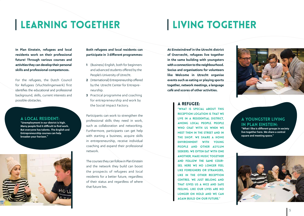### Learning together

# Living together

**In Plan Einstein, refugees and local residents work on their professional future! Through various courses and activities they can develop their personal skills and professional competences.** 

For the refugees, the Dutch Council for Refugees (Vluchtelingenwerk) first identifies the educational and professional background, skills, current interests and possible obstacles.

#### A local resident:

**"Unemployment in our district is high. Many people find it difficult to find work. But everyone has talents. The English and Entrepreneurship courses can help broaden your horizon.**"



#### **Both refugees and local residents can participate in 3 different programmes:**

- **1** (Business) English, both for beginners and advanced students offered by the People's University of Utrecht.
- **2** (International) Entrepreneurship offered by the Utrecht Center for Entrepreneurship.
- **3** Practical programme and coaching for entrepreneurship and work by the Social Impact Factory.

Participants can work to strengthen the professional skills they need in work, such as collaboration and networking. Furthermore, participants can get help with starting a business, acquire skills in entrepreneurship, receive individual coaching and expand their professional network.

The courses they can follow in Plan Einstein and the network they build can boost the prospects of refugees and local residents for a better future, regardless of their status and regardless of where that future lies.

**At Einsteindreef in the Utrecht district of Overvecht, refugees live together in the same building with youngsters with a connection to the neighbourhood. Socius and organisations for volunteers like Welcome in Utrecht organise events such as eating or playing sports together, network meetings, a language café and scores of other activities.** 

#### A refugee:

"What is special about this reception location is that we live in a residential district, among local people. People WHO CHAT WITH US WHEN WE meet them in the street and in the shop. We share a home environment with young people and other asylum seekers. We often eat with one another, make music together and follow the same courses. Here we no longer feel like foreigners or strangers, like in the other reception centres. We just belong and that gives us a nice and safe feeling. Like our lives are no longer on hold and we can again build on our future."



### A youngster living in Plan Einstein:

**"What I like is different groups in society live together here. We share a central square and meeting space."**

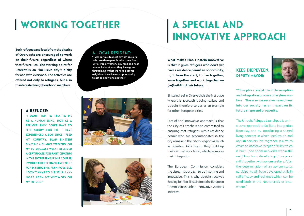## Working together

**Both refugees and locals from the district of Overvecht are encouraged to work on their future, regardless of where that future lies. The starting point for Utrecht is an "inclusive city"; a city for and with everyone. The activities are offered not only to refugees, but also to interested neighbourhood members.**

#### A local resident:

**"I was curious to meet asylum seekers. Who are these people who come from Syria, Iraq or Yemen? You read and hear so much about what they have gone through. Now that we have become neighbours, we have an opportunity to get to know one another."** 



as a human being, not as a refugee. They don't have to FEEL SORRY FOR ME. I HAVE experienced a lot since I fled my country. Plan Einstein gives me a chance to work on my future.Last week I received a certificate for participating in the entrepreneurship course. I would like to thank everyone for making this plan possible. I don't have to sit still anymore. I can actively work on my future."





### A special and innovative approach

**What makes Plan Einstein innovative is that it gives refugees who don't yet have a residence permit an opportunity, right from the start, to live together, learn together and work together on (re)building their future.** 

Einsteindreef in Overvecht is the first place where this approach is being realised and Utrecht therefore serves as an example for other European cities.

Part of the innovative approach is that the City of Utrecht is also committed to ensuring that refugees with a residence permit who are accommodated in the city remain in the city or region as much as possible. As a result, they build up their own network faster, which promotes their integration.

The European Commission considers the Utrecht approach to be inspiring and innovative. This is why Utrecht receives funding for Plan Einstein from the European Commission's Urban Innovative Actions Initiative.

### Kees Diepeveen, Deputy Mayor:



**"Cities play a crucial role in the reception and integration process of asylum seekers. The way we receive newcomers into our society has an impact on its future shape and prosperity.** 

The Utrecht Refugee Launchpad is an inclusive approach to facilitate integration from day one by introducing a shared living concept in which local youth and asylum seekers live together. It aims to create an innovative reception facility which is built upon social networks within the neighbourhood developing future proof skills together with asylum seekers. After the determination of an asylum status participants will have developed skills in self efficacy and resilience which can be used both in the Netherlands or elsewhere."

7